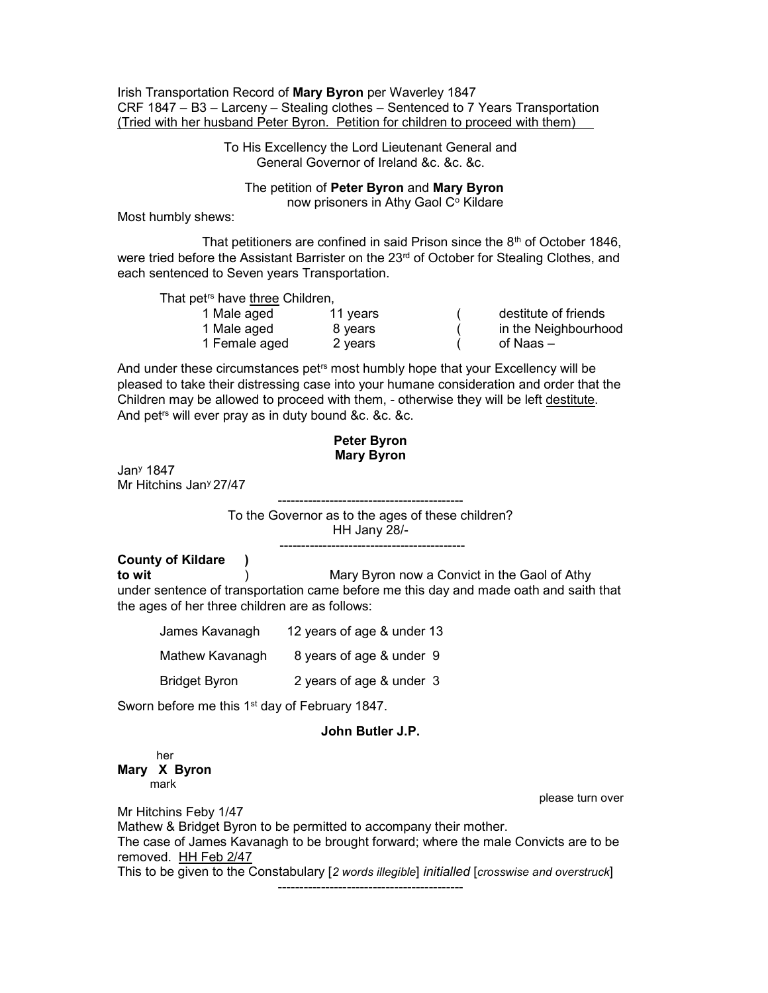Irish Transportation Record of Mary Byron per Waverley 1847 CRF 1847 – B3 – Larceny – Stealing clothes – Sentenced to 7 Years Transportation (Tried with her husband Peter Byron. Petition for children to proceed with them)

> To His Excellency the Lord Lieutenant General and General Governor of Ireland &c. &c. &c.

 The petition of Peter Byron and Mary Byron now prisoners in Athy Gaol C° Kildare

Most humbly shews:

That petitioners are confined in said Prison since the  $8<sup>th</sup>$  of October 1846, were tried before the Assistant Barrister on the 23<sup>rd</sup> of October for Stealing Clothes, and each sentenced to Seven years Transportation.

That pet<sup>rs</sup> have three Children.

| 1 Male aged   | 11 years | destitute of friends |
|---------------|----------|----------------------|
| 1 Male aged   | 8 vears  | in the Neighbourhood |
| 1 Female aged | 2 vears  | of Naas –            |

And under these circumstances pet<sup>rs</sup> most humbly hope that your Excellency will be pleased to take their distressing case into your humane consideration and order that the Children may be allowed to proceed with them, - otherwise they will be left destitute. And petrs will ever pray as in duty bound &c. &c. &c.

## Peter Byron Mary Byron

Jan<sup>y</sup> 1847 Mr Hitchins Jan<sup>y</sup> 27/47

-------------------------------------------

To the Governor as to the ages of these children?

HH Jany 28/- -------------------------------------------

County of Kildare )

to wit (a) the Mary Byron now a Convict in the Gaol of Athy under sentence of transportation came before me this day and made oath and saith that the ages of her three children are as follows:

| James Kavanagh       | 12 years of age & under 13 |  |  |  |  |  |  |
|----------------------|----------------------------|--|--|--|--|--|--|
| Mathew Kavanagh      | 8 years of age & under 9   |  |  |  |  |  |  |
| <b>Bridget Byron</b> | 2 years of age & under 3   |  |  |  |  |  |  |

Sworn before me this 1<sup>st</sup> day of February 1847.

## John Butler J.P.

 her Mary X Byron mark

please turn over

Mr Hitchins Feby 1/47 Mathew & Bridget Byron to be permitted to accompany their mother. The case of James Kavanagh to be brought forward; where the male Convicts are to be removed. HH Feb 2/47 This to be given to the Constabulary [2 words illegible] initialled [crosswise and overstruck] -------------------------------------------